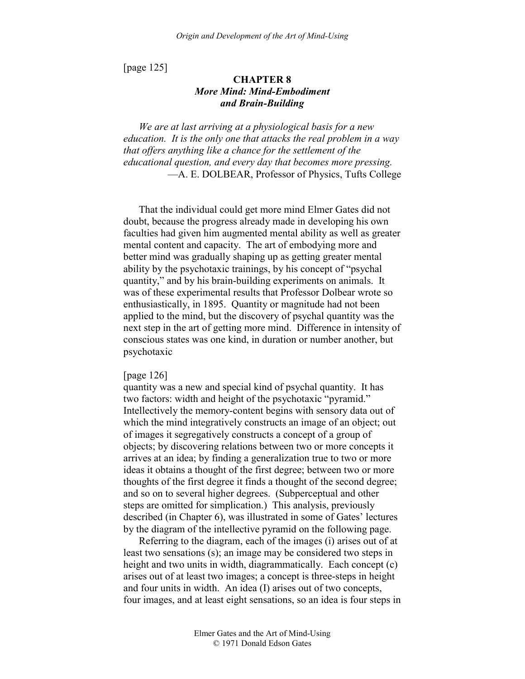[page 125]

# **CHAPTER 8**  *More Mind: Mind-Embodiment and Brain-Building*

*We are at last arriving at a physiological basis for a new education. It is the only one that attacks the real problem in a way that offers anything like a chance for the settlement of the educational question, and every day that becomes more pressing.*  —A. E. DOLBEAR, Professor of Physics, Tufts College

That the individual could get more mind Elmer Gates did not doubt, because the progress already made in developing his own faculties had given him augmented mental ability as well as greater mental content and capacity. The art of embodying more and better mind was gradually shaping up as getting greater mental ability by the psychotaxic trainings, by his concept of "psychal quantity," and by his brain-building experiments on animals. It was of these experimental results that Professor Dolbear wrote so enthusiastically, in 1895. Quantity or magnitude had not been applied to the mind, but the discovery of psychal quantity was the next step in the art of getting more mind. Difference in intensity of conscious states was one kind, in duration or number another, but psychotaxic

### [page 126]

quantity was a new and special kind of psychal quantity. It has two factors: width and height of the psychotaxic "pyramid." Intellectively the memory-content begins with sensory data out of which the mind integratively constructs an image of an object; out of images it segregatively constructs a concept of a group of objects; by discovering relations between two or more concepts it arrives at an idea; by finding a generalization true to two or more ideas it obtains a thought of the first degree; between two or more thoughts of the first degree it finds a thought of the second degree; and so on to several higher degrees. (Subperceptual and other steps are omitted for simplication.) This analysis, previously described (in Chapter 6), was illustrated in some of Gates' lectures by the diagram of the intellective pyramid on the following page.

Referring to the diagram, each of the images (i) arises out of at least two sensations (s); an image may be considered two steps in height and two units in width, diagrammatically. Each concept (c) arises out of at least two images; a concept is three-steps in height and four units in width. An idea (I) arises out of two concepts, four images, and at least eight sensations, so an idea is four steps in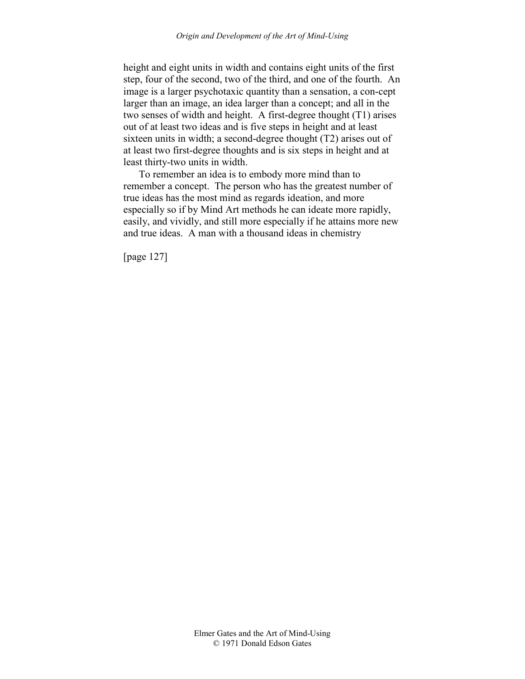height and eight units in width and contains eight units of the first step, four of the second, two of the third, and one of the fourth. An image is a larger psychotaxic quantity than a sensation, a con-cept larger than an image, an idea larger than a concept; and all in the two senses of width and height. A first-degree thought (T1) arises out of at least two ideas and is five steps in height and at least sixteen units in width; a second-degree thought (T2) arises out of at least two first-degree thoughts and is six steps in height and at least thirty-two units in width.

To remember an idea is to embody more mind than to remember a concept. The person who has the greatest number of true ideas has the most mind as regards ideation, and more especially so if by Mind Art methods he can ideate more rapidly, easily, and vividly, and still more especially if he attains more new and true ideas. A man with a thousand ideas in chemistry

[page 127]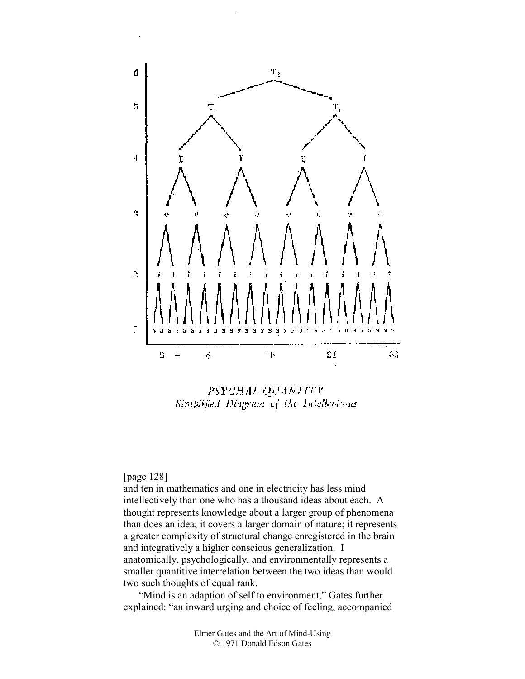

PSYCHAL QUANTITY Simplified Diagram of the Intellections

# [page 128]

and ten in mathematics and one in electricity has less mind intellectively than one who has a thousand ideas about each. A thought represents knowledge about a larger group of phenomena than does an idea; it covers a larger domain of nature; it represents a greater complexity of structural change enregistered in the brain and integratively a higher conscious generalization. I anatomically, psychologically, and environmentally represents a smaller quantitive interrelation between the two ideas than would two such thoughts of equal rank.

"Mind is an adaption of self to environment," Gates further explained: "an inward urging and choice of feeling, accompanied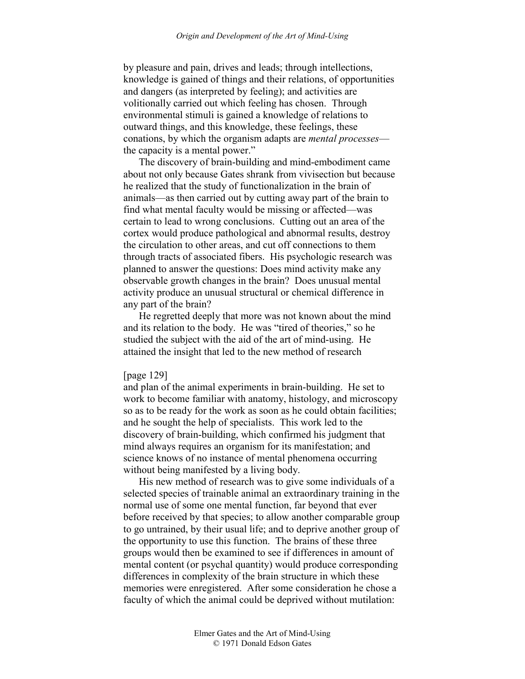by pleasure and pain, drives and leads; through intellections, knowledge is gained of things and their relations, of opportunities and dangers (as interpreted by feeling); and activities are volitionally carried out which feeling has chosen. Through environmental stimuli is gained a knowledge of relations to outward things, and this knowledge, these feelings, these conations, by which the organism adapts are *mental processes* the capacity is a mental power."

The discovery of brain-building and mind-embodiment came about not only because Gates shrank from vivisection but because he realized that the study of functionalization in the brain of animals—as then carried out by cutting away part of the brain to find what mental faculty would be missing or affected—was certain to lead to wrong conclusions. Cutting out an area of the cortex would produce pathological and abnormal results, destroy the circulation to other areas, and cut off connections to them through tracts of associated fibers. His psychologic research was planned to answer the questions: Does mind activity make any observable growth changes in the brain? Does unusual mental activity produce an unusual structural or chemical difference in any part of the brain?

He regretted deeply that more was not known about the mind and its relation to the body. He was "tired of theories," so he studied the subject with the aid of the art of mind-using. He attained the insight that led to the new method of research

# [page 129]

and plan of the animal experiments in brain-building. He set to work to become familiar with anatomy, histology, and microscopy so as to be ready for the work as soon as he could obtain facilities; and he sought the help of specialists. This work led to the discovery of brain-building, which confirmed his judgment that mind always requires an organism for its manifestation; and science knows of no instance of mental phenomena occurring without being manifested by a living body.

His new method of research was to give some individuals of a selected species of trainable animal an extraordinary training in the normal use of some one mental function, far beyond that ever before received by that species; to allow another comparable group to go untrained, by their usual life; and to deprive another group of the opportunity to use this function. The brains of these three groups would then be examined to see if differences in amount of mental content (or psychal quantity) would produce corresponding differences in complexity of the brain structure in which these memories were enregistered. After some consideration he chose a faculty of which the animal could be deprived without mutilation: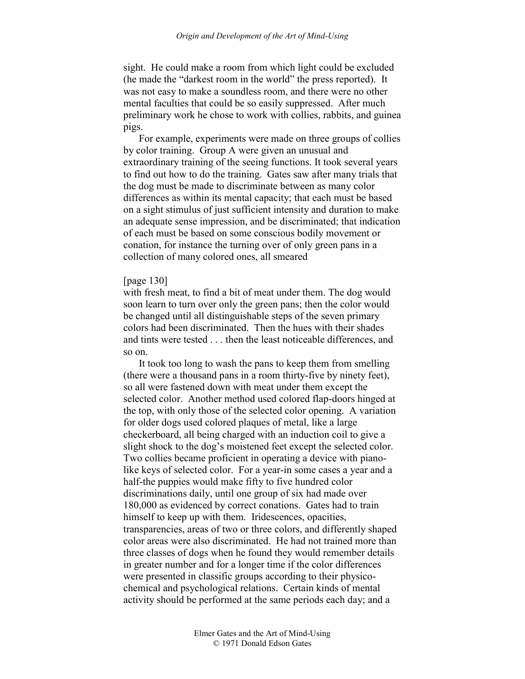sight. He could make a room from which light could be excluded (he made the "darkest room in the world" the press reported). It was not easy to make a soundless room, and there were no other mental faculties that could be so easily suppressed. After much preliminary work he chose to work with collies, rabbits, and guinea pigs.

For example, experiments were made on three groups of collies by color training. Group A were given an unusual and extraordinary training of the seeing functions. It took several years to find out how to do the training. Gates saw after many trials that the dog must be made to discriminate between as many color differences as within its mental capacity; that each must be based on a sight stimulus of just sufficient intensity and duration to make an adequate sense impression, and be discriminated; that indication of each must be based on some conscious bodily movement or conation, for instance the turning over of only green pans in a collection of many colored ones, all smeared

### [page 130]

with fresh meat, to find a bit of meat under them. The dog would soon learn to turn over only the green pans; then the color would be changed until all distinguishable steps of the seven primary colors had been discriminated. Then the hues with their shades and tints were tested . . . then the least noticeable differences, and so on.

It took too long to wash the pans to keep them from smelling (there were a thousand pans in a room thirty-five by ninety feet), so all were fastened down with meat under them except the selected color. Another method used colored flap-doors hinged at the top, with only those of the selected color opening. A variation for older dogs used colored plaques of metal, like a large checkerboard, all being charged with an induction coil to give a slight shock to the dog's moistened feet except the selected color. Two collies became proficient in operating a device with pianolike keys of selected color. For a year-in some cases a year and a half-the puppies would make fifty to five hundred color discriminations daily, until one group of six had made over 180,000 as evidenced by correct conations. Gates had to train himself to keep up with them. Iridescences, opacities, transparencies, areas of two or three colors, and differently shaped color areas were also discriminated. He had not trained more than three classes of dogs when he found they would remember details in greater number and for a longer time if the color differences were presented in classific groups according to their physicochemical and psychological relations. Certain kinds of mental activity should be performed at the same periods each day; and a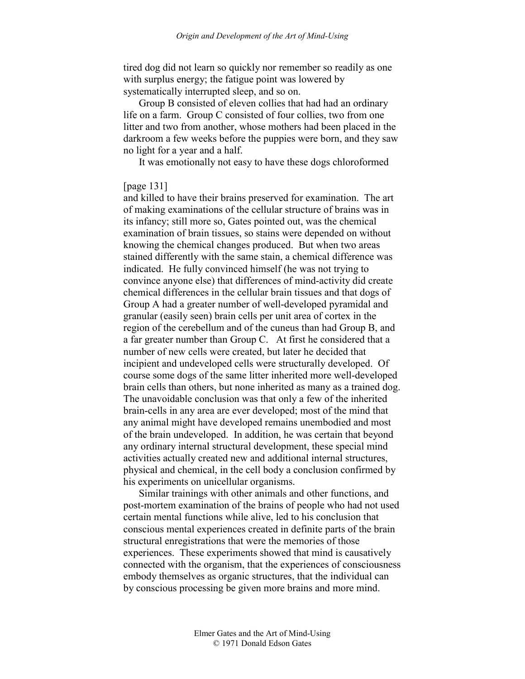tired dog did not learn so quickly nor remember so readily as one with surplus energy; the fatigue point was lowered by systematically interrupted sleep, and so on.

Group B consisted of eleven collies that had had an ordinary life on a farm. Group C consisted of four collies, two from one litter and two from another, whose mothers had been placed in the darkroom a few weeks before the puppies were born, and they saw no light for a year and a half.

It was emotionally not easy to have these dogs chloroformed

# [page 131]

and killed to have their brains preserved for examination. The art of making examinations of the cellular structure of brains was in its infancy; still more so, Gates pointed out, was the chemical examination of brain tissues, so stains were depended on without knowing the chemical changes produced. But when two areas stained differently with the same stain, a chemical difference was indicated. He fully convinced himself (he was not trying to convince anyone else) that differences of mind-activity did create chemical differences in the cellular brain tissues and that dogs of Group A had a greater number of well-developed pyramidal and granular (easily seen) brain cells per unit area of cortex in the region of the cerebellum and of the cuneus than had Group B, and a far greater number than Group C. At first he considered that a number of new cells were created, but later he decided that incipient and undeveloped cells were structurally developed. Of course some dogs of the same litter inherited more well-developed brain cells than others, but none inherited as many as a trained dog. The unavoidable conclusion was that only a few of the inherited brain-cells in any area are ever developed; most of the mind that any animal might have developed remains unembodied and most of the brain undeveloped. In addition, he was certain that beyond any ordinary internal structural development, these special mind activities actually created new and additional internal structures, physical and chemical, in the cell body a conclusion confirmed by his experiments on unicellular organisms.

Similar trainings with other animals and other functions, and post-mortem examination of the brains of people who had not used certain mental functions while alive, led to his conclusion that conscious mental experiences created in definite parts of the brain structural enregistrations that were the memories of those experiences. These experiments showed that mind is causatively connected with the organism, that the experiences of consciousness embody themselves as organic structures, that the individual can by conscious processing be given more brains and more mind.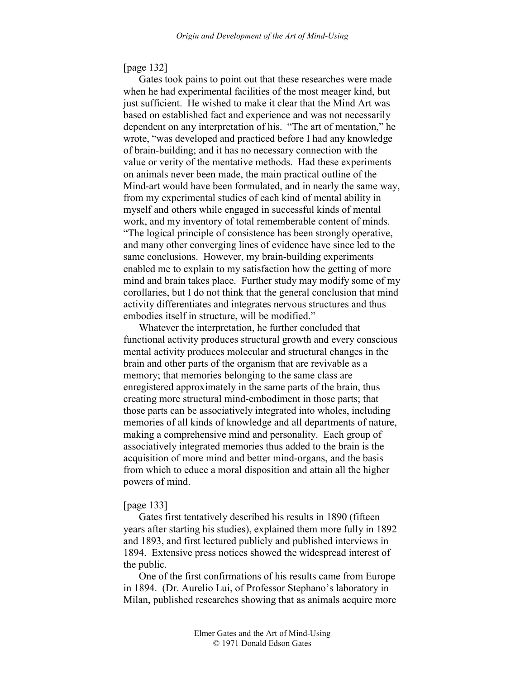# [page 132]

Gates took pains to point out that these researches were made when he had experimental facilities of the most meager kind, but just sufficient. He wished to make it clear that the Mind Art was based on established fact and experience and was not necessarily dependent on any interpretation of his. "The art of mentation," he wrote, "was developed and practiced before I had any knowledge of brain-building; and it has no necessary connection with the value or verity of the mentative methods. Had these experiments on animals never been made, the main practical outline of the Mind-art would have been formulated, and in nearly the same way, from my experimental studies of each kind of mental ability in myself and others while engaged in successful kinds of mental work, and my inventory of total rememberable content of minds. "The logical principle of consistence has been strongly operative, and many other converging lines of evidence have since led to the same conclusions. However, my brain-building experiments enabled me to explain to my satisfaction how the getting of more mind and brain takes place. Further study may modify some of my corollaries, but I do not think that the general conclusion that mind activity differentiates and integrates nervous structures and thus embodies itself in structure, will be modified."

Whatever the interpretation, he further concluded that functional activity produces structural growth and every conscious mental activity produces molecular and structural changes in the brain and other parts of the organism that are revivable as a memory; that memories belonging to the same class are enregistered approximately in the same parts of the brain, thus creating more structural mind-embodiment in those parts; that those parts can be associatively integrated into wholes, including memories of all kinds of knowledge and all departments of nature, making a comprehensive mind and personality. Each group of associatively integrated memories thus added to the brain is the acquisition of more mind and better mind-organs, and the basis from which to educe a moral disposition and attain all the higher powers of mind.

### [page 133]

Gates first tentatively described his results in 1890 (fifteen years after starting his studies), explained them more fully in 1892 and 1893, and first lectured publicly and published interviews in 1894. Extensive press notices showed the widespread interest of the public.

One of the first confirmations of his results came from Europe in 1894. (Dr. Aurelio Lui, of Professor Stephano's laboratory in Milan, published researches showing that as animals acquire more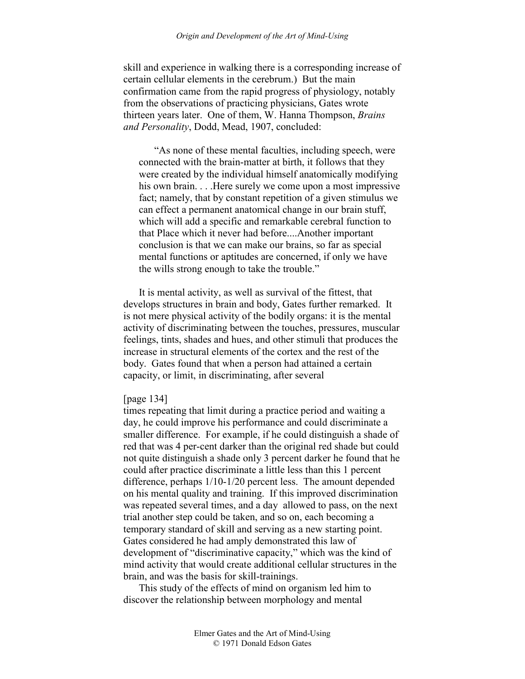#### *Origin and Development of the Art of Mind-Using*

skill and experience in walking there is a corresponding increase of certain cellular elements in the cerebrum.) But the main confirmation came from the rapid progress of physiology, notably from the observations of practicing physicians, Gates wrote thirteen years later. One of them, W. Hanna Thompson, *Brains and Personality*, Dodd, Mead, 1907, concluded:

"As none of these mental faculties, including speech, were connected with the brain-matter at birth, it follows that they were created by the individual himself anatomically modifying his own brain. . . .Here surely we come upon a most impressive fact; namely, that by constant repetition of a given stimulus we can effect a permanent anatomical change in our brain stuff, which will add a specific and remarkable cerebral function to that Place which it never had before....Another important conclusion is that we can make our brains, so far as special mental functions or aptitudes are concerned, if only we have the wills strong enough to take the trouble."

It is mental activity, as well as survival of the fittest, that develops structures in brain and body, Gates further remarked. It is not mere physical activity of the bodily organs: it is the mental activity of discriminating between the touches, pressures, muscular feelings, tints, shades and hues, and other stimuli that produces the increase in structural elements of the cortex and the rest of the body. Gates found that when a person had attained a certain capacity, or limit, in discriminating, after several

### [page 134]

times repeating that limit during a practice period and waiting a day, he could improve his performance and could discriminate a smaller difference. For example, if he could distinguish a shade of red that was 4 per-cent darker than the original red shade but could not quite distinguish a shade only 3 percent darker he found that he could after practice discriminate a little less than this 1 percent difference, perhaps 1/10-1/20 percent less. The amount depended on his mental quality and training. If this improved discrimination was repeated several times, and a day allowed to pass, on the next trial another step could be taken, and so on, each becoming a temporary standard of skill and serving as a new starting point. Gates considered he had amply demonstrated this law of development of "discriminative capacity," which was the kind of mind activity that would create additional cellular structures in the brain, and was the basis for skill-trainings.

This study of the effects of mind on organism led him to discover the relationship between morphology and mental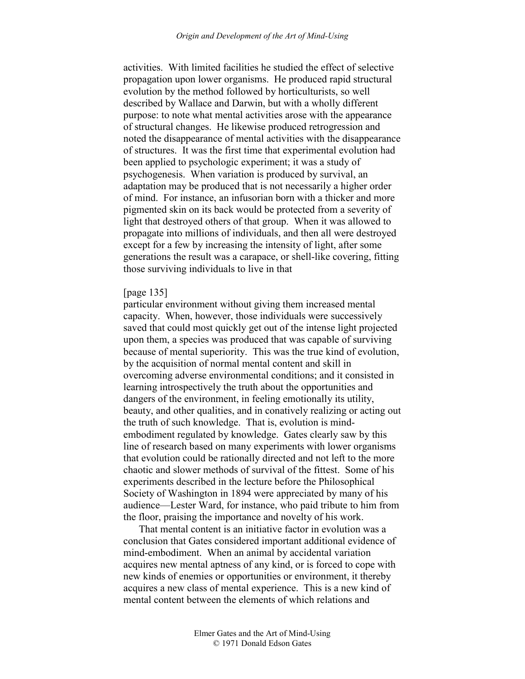activities. With limited facilities he studied the effect of selective propagation upon lower organisms. He produced rapid structural evolution by the method followed by horticulturists, so well described by Wallace and Darwin, but with a wholly different purpose: to note what mental activities arose with the appearance of structural changes. He likewise produced retrogression and noted the disappearance of mental activities with the disappearance of structures. It was the first time that experimental evolution had been applied to psychologic experiment; it was a study of psychogenesis. When variation is produced by survival, an adaptation may be produced that is not necessarily a higher order of mind. For instance, an infusorian born with a thicker and more pigmented skin on its back would be protected from a severity of light that destroyed others of that group. When it was allowed to propagate into millions of individuals, and then all were destroyed except for a few by increasing the intensity of light, after some generations the result was a carapace, or shell-like covering, fitting those surviving individuals to live in that

# [page 135]

particular environment without giving them increased mental capacity. When, however, those individuals were successively saved that could most quickly get out of the intense light projected upon them, a species was produced that was capable of surviving because of mental superiority. This was the true kind of evolution, by the acquisition of normal mental content and skill in overcoming adverse environmental conditions; and it consisted in learning introspectively the truth about the opportunities and dangers of the environment, in feeling emotionally its utility, beauty, and other qualities, and in conatively realizing or acting out the truth of such knowledge. That is, evolution is mindembodiment regulated by knowledge. Gates clearly saw by this line of research based on many experiments with lower organisms that evolution could be rationally directed and not left to the more chaotic and slower methods of survival of the fittest. Some of his experiments described in the lecture before the Philosophical Society of Washington in 1894 were appreciated by many of his audience—Lester Ward, for instance, who paid tribute to him from the floor, praising the importance and novelty of his work.

That mental content is an initiative factor in evolution was a conclusion that Gates considered important additional evidence of mind-embodiment. When an animal by accidental variation acquires new mental aptness of any kind, or is forced to cope with new kinds of enemies or opportunities or environment, it thereby acquires a new class of mental experience. This is a new kind of mental content between the elements of which relations and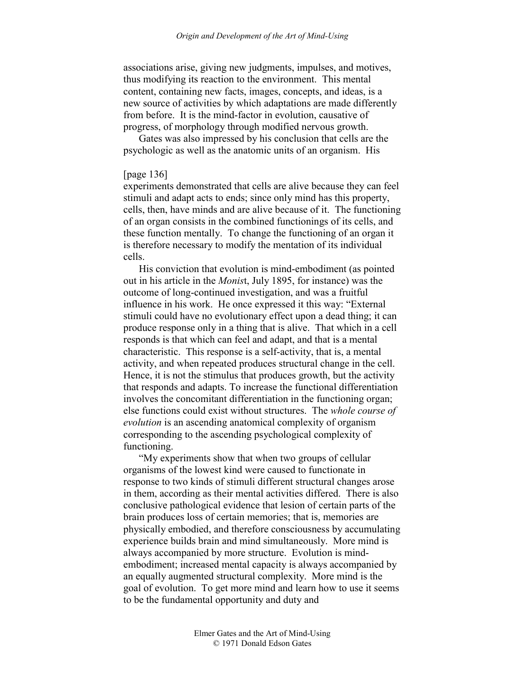associations arise, giving new judgments, impulses, and motives, thus modifying its reaction to the environment. This mental content, containing new facts, images, concepts, and ideas, is a new source of activities by which adaptations are made differently from before. It is the mind-factor in evolution, causative of progress, of morphology through modified nervous growth.

Gates was also impressed by his conclusion that cells are the psychologic as well as the anatomic units of an organism. His

# [page 136]

experiments demonstrated that cells are alive because they can feel stimuli and adapt acts to ends; since only mind has this property, cells, then, have minds and are alive because of it. The functioning of an organ consists in the combined functionings of its cells, and these function mentally. To change the functioning of an organ it is therefore necessary to modify the mentation of its individual cells.

His conviction that evolution is mind-embodiment (as pointed out in his article in the *Monis*t, July 1895, for instance) was the outcome of long-continued investigation, and was a fruitful influence in his work. He once expressed it this way: "External stimuli could have no evolutionary effect upon a dead thing; it can produce response only in a thing that is alive. That which in a cell responds is that which can feel and adapt, and that is a mental characteristic. This response is a self-activity, that is, a mental activity, and when repeated produces structural change in the cell. Hence, it is not the stimulus that produces growth, but the activity that responds and adapts. To increase the functional differentiation involves the concomitant differentiation in the functioning organ; else functions could exist without structures. The *whole course of evolution* is an ascending anatomical complexity of organism corresponding to the ascending psychological complexity of functioning.

"My experiments show that when two groups of cellular organisms of the lowest kind were caused to functionate in response to two kinds of stimuli different structural changes arose in them, according as their mental activities differed. There is also conclusive pathological evidence that lesion of certain parts of the brain produces loss of certain memories; that is, memories are physically embodied, and therefore consciousness by accumulating experience builds brain and mind simultaneously. More mind is always accompanied by more structure. Evolution is mindembodiment; increased mental capacity is always accompanied by an equally augmented structural complexity. More mind is the goal of evolution. To get more mind and learn how to use it seems to be the fundamental opportunity and duty and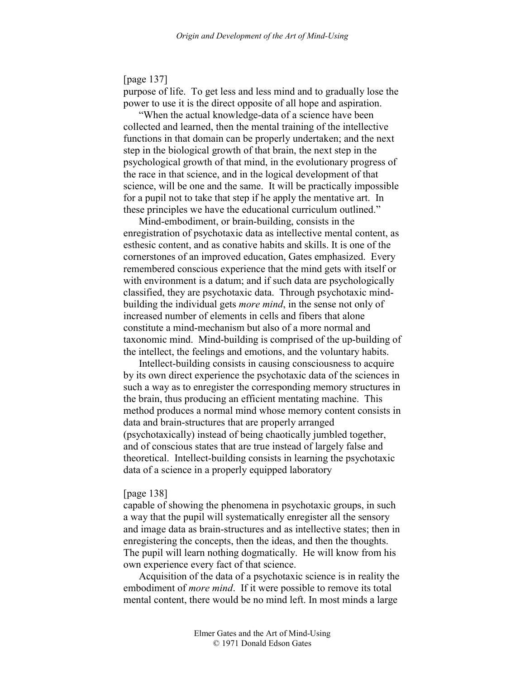[page 137]

purpose of life. To get less and less mind and to gradually lose the power to use it is the direct opposite of all hope and aspiration.

"When the actual knowledge-data of a science have been collected and learned, then the mental training of the intellective functions in that domain can be properly undertaken; and the next step in the biological growth of that brain, the next step in the psychological growth of that mind, in the evolutionary progress of the race in that science, and in the logical development of that science, will be one and the same. It will be practically impossible for a pupil not to take that step if he apply the mentative art. In these principles we have the educational curriculum outlined."

Mind-embodiment, or brain-building, consists in the enregistration of psychotaxic data as intellective mental content, as esthesic content, and as conative habits and skills. It is one of the cornerstones of an improved education, Gates emphasized. Every remembered conscious experience that the mind gets with itself or with environment is a datum; and if such data are psychologically classified, they are psychotaxic data. Through psychotaxic mindbuilding the individual gets *more mind*, in the sense not only of increased number of elements in cells and fibers that alone constitute a mind-mechanism but also of a more normal and taxonomic mind. Mind-building is comprised of the up-building of the intellect, the feelings and emotions, and the voluntary habits.

Intellect-building consists in causing consciousness to acquire by its own direct experience the psychotaxic data of the sciences in such a way as to enregister the corresponding memory structures in the brain, thus producing an efficient mentating machine. This method produces a normal mind whose memory content consists in data and brain-structures that are properly arranged (psychotaxically) instead of being chaotically jumbled together, and of conscious states that are true instead of largely false and theoretical. Intellect-building consists in learning the psychotaxic data of a science in a properly equipped laboratory

### [page 138]

capable of showing the phenomena in psychotaxic groups, in such a way that the pupil will systematically enregister all the sensory and image data as brain-structures and as intellective states; then in enregistering the concepts, then the ideas, and then the thoughts. The pupil will learn nothing dogmatically. He will know from his own experience every fact of that science.

Acquisition of the data of a psychotaxic science is in reality the embodiment of *more mind*. If it were possible to remove its total mental content, there would be no mind left. In most minds a large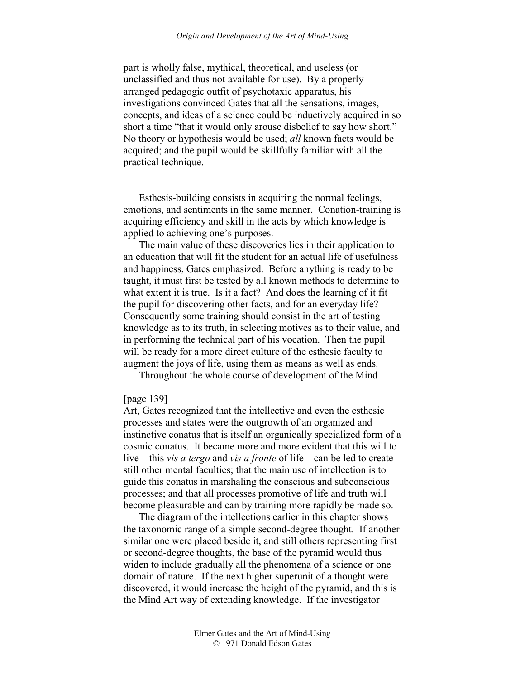part is wholly false, mythical, theoretical, and useless (or unclassified and thus not available for use). By a properly arranged pedagogic outfit of psychotaxic apparatus, his investigations convinced Gates that all the sensations, images, concepts, and ideas of a science could be inductively acquired in so short a time "that it would only arouse disbelief to say how short." No theory or hypothesis would be used; *all* known facts would be acquired; and the pupil would be skillfully familiar with all the practical technique.

Esthesis-building consists in acquiring the normal feelings, emotions, and sentiments in the same manner. Conation-training is acquiring efficiency and skill in the acts by which knowledge is applied to achieving one's purposes.

The main value of these discoveries lies in their application to an education that will fit the student for an actual life of usefulness and happiness, Gates emphasized. Before anything is ready to be taught, it must first be tested by all known methods to determine to what extent it is true. Is it a fact? And does the learning of it fit the pupil for discovering other facts, and for an everyday life? Consequently some training should consist in the art of testing knowledge as to its truth, in selecting motives as to their value, and in performing the technical part of his vocation. Then the pupil will be ready for a more direct culture of the esthesic faculty to augment the joys of life, using them as means as well as ends.

Throughout the whole course of development of the Mind

### [page 139]

Art, Gates recognized that the intellective and even the esthesic processes and states were the outgrowth of an organized and instinctive conatus that is itself an organically specialized form of a cosmic conatus. It became more and more evident that this will to live—this *vis a tergo* and *vis a fronte* of life—can be led to create still other mental faculties; that the main use of intellection is to guide this conatus in marshaling the conscious and subconscious processes; and that all processes promotive of life and truth will become pleasurable and can by training more rapidly be made so.

The diagram of the intellections earlier in this chapter shows the taxonomic range of a simple second-degree thought. If another similar one were placed beside it, and still others representing first or second-degree thoughts, the base of the pyramid would thus widen to include gradually all the phenomena of a science or one domain of nature. If the next higher superunit of a thought were discovered, it would increase the height of the pyramid, and this is the Mind Art way of extending knowledge. If the investigator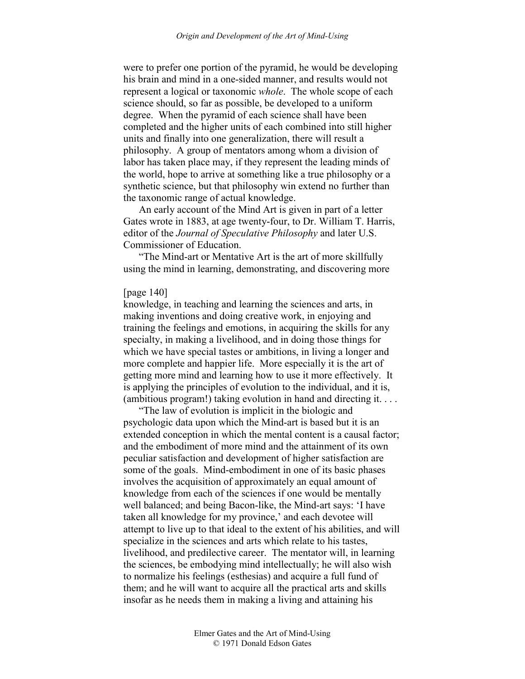were to prefer one portion of the pyramid, he would be developing his brain and mind in a one-sided manner, and results would not represent a logical or taxonomic *whole*. The whole scope of each science should, so far as possible, be developed to a uniform degree. When the pyramid of each science shall have been completed and the higher units of each combined into still higher units and finally into one generalization, there will result a philosophy. A group of mentators among whom a division of labor has taken place may, if they represent the leading minds of the world, hope to arrive at something like a true philosophy or a synthetic science, but that philosophy win extend no further than the taxonomic range of actual knowledge.

An early account of the Mind Art is given in part of a letter Gates wrote in 1883, at age twenty-four, to Dr. William T. Harris, editor of the *Journal of Speculative Philosophy* and later U.S. Commissioner of Education.

"The Mind-art or Mentative Art is the art of more skillfully using the mind in learning, demonstrating, and discovering more

# [page 140]

knowledge, in teaching and learning the sciences and arts, in making inventions and doing creative work, in enjoying and training the feelings and emotions, in acquiring the skills for any specialty, in making a livelihood, and in doing those things for which we have special tastes or ambitions, in living a longer and more complete and happier life. More especially it is the art of getting more mind and learning how to use it more effectively. It is applying the principles of evolution to the individual, and it is, (ambitious program!) taking evolution in hand and directing it. . . .

"The law of evolution is implicit in the biologic and psychologic data upon which the Mind-art is based but it is an extended conception in which the mental content is a causal factor; and the embodiment of more mind and the attainment of its own peculiar satisfaction and development of higher satisfaction are some of the goals. Mind-embodiment in one of its basic phases involves the acquisition of approximately an equal amount of knowledge from each of the sciences if one would be mentally well balanced; and being Bacon-like, the Mind-art says: 'I have taken all knowledge for my province,' and each devotee will attempt to live up to that ideal to the extent of his abilities, and will specialize in the sciences and arts which relate to his tastes, livelihood, and predilective career. The mentator will, in learning the sciences, be embodying mind intellectually; he will also wish to normalize his feelings (esthesias) and acquire a full fund of them; and he will want to acquire all the practical arts and skills insofar as he needs them in making a living and attaining his